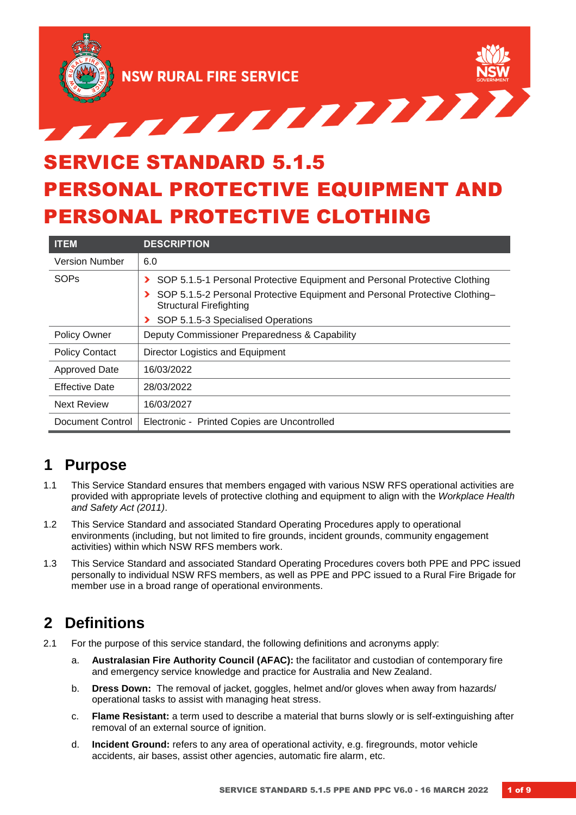

# SERVICE STANDARD 5.1.5 PERSONAL PROTECTIVE EQUIPMENT AND PERSONAL PROTECTIVE CLOTHING

| <b>ITEM</b>           | <b>DESCRIPTION</b>                                                                                            |  |  |
|-----------------------|---------------------------------------------------------------------------------------------------------------|--|--|
| <b>Version Number</b> | 6.0                                                                                                           |  |  |
| SOPs                  | SOP 5.1.5-1 Personal Protective Equipment and Personal Protective Clothing<br>$\blacktriangleright$           |  |  |
|                       | SOP 5.1.5-2 Personal Protective Equipment and Personal Protective Clothing-<br><b>Structural Firefighting</b> |  |  |
|                       | SOP 5.1.5-3 Specialised Operations                                                                            |  |  |
| <b>Policy Owner</b>   | Deputy Commissioner Preparedness & Capability                                                                 |  |  |
| <b>Policy Contact</b> | Director Logistics and Equipment                                                                              |  |  |
| <b>Approved Date</b>  | 16/03/2022                                                                                                    |  |  |
| <b>Effective Date</b> | 28/03/2022                                                                                                    |  |  |
| <b>Next Review</b>    | 16/03/2027                                                                                                    |  |  |
| Document Control      | Electronic - Printed Copies are Uncontrolled                                                                  |  |  |

### **1 Purpose**

- 1.1 This Service Standard ensures that members engaged with various NSW RFS operational activities are provided with appropriate levels of protective clothing and equipment to align with the *Workplace Health and Safety Act (2011)*.
- 1.2 This Service Standard and associated Standard Operating Procedures apply to operational environments (including, but not limited to fire grounds, incident grounds, community engagement activities) within which NSW RFS members work.
- 1.3 This Service Standard and associated Standard Operating Procedures covers both PPE and PPC issued personally to individual NSW RFS members, as well as PPE and PPC issued to a Rural Fire Brigade for member use in a broad range of operational environments.

### **2 Definitions**

- 2.1 For the purpose of this service standard, the following definitions and acronyms apply:
	- a. **Australasian Fire Authority Council (AFAC):** the facilitator and custodian of contemporary fire and emergency service knowledge and practice for Australia and New Zealand.
	- b. **Dress Down:** The removal of jacket, goggles, helmet and/or gloves when away from hazards/ operational tasks to assist with managing heat stress.
	- c. **Flame Resistant:** a term used to describe a material that burns slowly or is self-extinguishing after removal of an external source of ignition.
	- d. **Incident Ground:** refers to any area of operational activity, e.g. firegrounds, motor vehicle accidents, air bases, assist other agencies, automatic fire alarm, etc.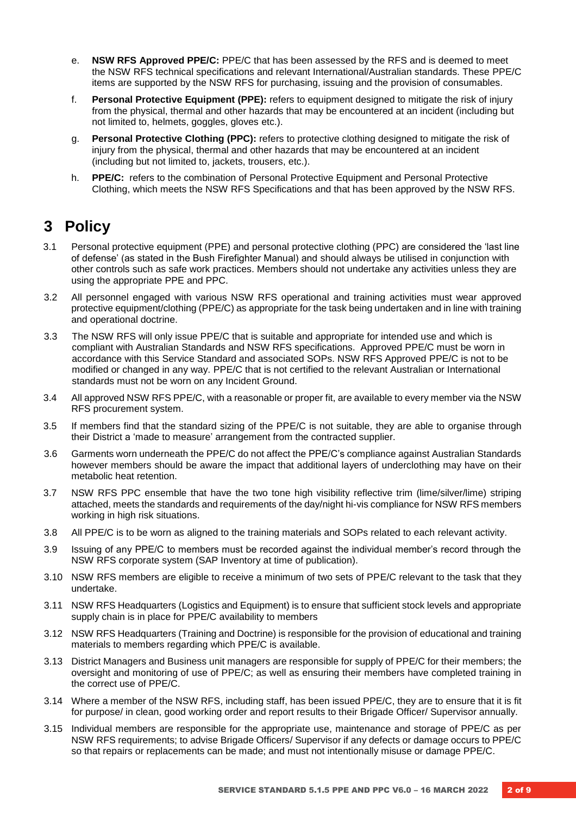- e. **NSW RFS Approved PPE/C:** PPE/C that has been assessed by the RFS and is deemed to meet the NSW RFS technical specifications and relevant International/Australian standards. These PPE/C items are supported by the NSW RFS for purchasing, issuing and the provision of consumables.
- f. **Personal Protective Equipment (PPE):** refers to equipment designed to mitigate the risk of injury from the physical, thermal and other hazards that may be encountered at an incident (including but not limited to, helmets, goggles, gloves etc.).
- g. **Personal Protective Clothing (PPC):** refers to protective clothing designed to mitigate the risk of injury from the physical, thermal and other hazards that may be encountered at an incident (including but not limited to, jackets, trousers, etc.).
- h. **PPE/C:** refers to the combination of Personal Protective Equipment and Personal Protective Clothing, which meets the NSW RFS Specifications and that has been approved by the NSW RFS.

### **3 Policy**

- 3.1 Personal protective equipment (PPE) and personal protective clothing (PPC) are considered the 'last line of defense' (as stated in the Bush Firefighter Manual) and should always be utilised in conjunction with other controls such as safe work practices. Members should not undertake any activities unless they are using the appropriate PPE and PPC.
- 3.2 All personnel engaged with various NSW RFS operational and training activities must wear approved protective equipment/clothing (PPE/C) as appropriate for the task being undertaken and in line with training and operational doctrine.
- 3.3 The NSW RFS will only issue PPE/C that is suitable and appropriate for intended use and which is compliant with Australian Standards and NSW RFS specifications. Approved PPE/C must be worn in accordance with this Service Standard and associated SOPs. NSW RFS Approved PPE/C is not to be modified or changed in any way. PPE/C that is not certified to the relevant Australian or International standards must not be worn on any Incident Ground.
- 3.4 All approved NSW RFS PPE/C, with a reasonable or proper fit, are available to every member via the NSW RFS procurement system.
- 3.5 If members find that the standard sizing of the PPE/C is not suitable, they are able to organise through their District a 'made to measure' arrangement from the contracted supplier.
- 3.6 Garments worn underneath the PPE/C do not affect the PPE/C's compliance against Australian Standards however members should be aware the impact that additional layers of underclothing may have on their metabolic heat retention.
- 3.7 NSW RFS PPC ensemble that have the two tone high visibility reflective trim (lime/silver/lime) striping attached, meets the standards and requirements of the day/night hi-vis compliance for NSW RFS members working in high risk situations.
- 3.8 All PPE/C is to be worn as aligned to the training materials and SOPs related to each relevant activity.
- 3.9 Issuing of any PPE/C to members must be recorded against the individual member's record through the NSW RFS corporate system (SAP Inventory at time of publication).
- 3.10 NSW RFS members are eligible to receive a minimum of two sets of PPE/C relevant to the task that they undertake.
- 3.11 NSW RFS Headquarters (Logistics and Equipment) is to ensure that sufficient stock levels and appropriate supply chain is in place for PPE/C availability to members
- 3.12 NSW RFS Headquarters (Training and Doctrine) is responsible for the provision of educational and training materials to members regarding which PPE/C is available.
- 3.13 District Managers and Business unit managers are responsible for supply of PPE/C for their members; the oversight and monitoring of use of PPE/C; as well as ensuring their members have completed training in the correct use of PPE/C.
- 3.14 Where a member of the NSW RFS, including staff, has been issued PPE/C, they are to ensure that it is fit for purpose/ in clean, good working order and report results to their Brigade Officer/ Supervisor annually.
- 3.15 Individual members are responsible for the appropriate use, maintenance and storage of PPE/C as per NSW RFS requirements; to advise Brigade Officers/ Supervisor if any defects or damage occurs to PPE/C so that repairs or replacements can be made; and must not intentionally misuse or damage PPE/C.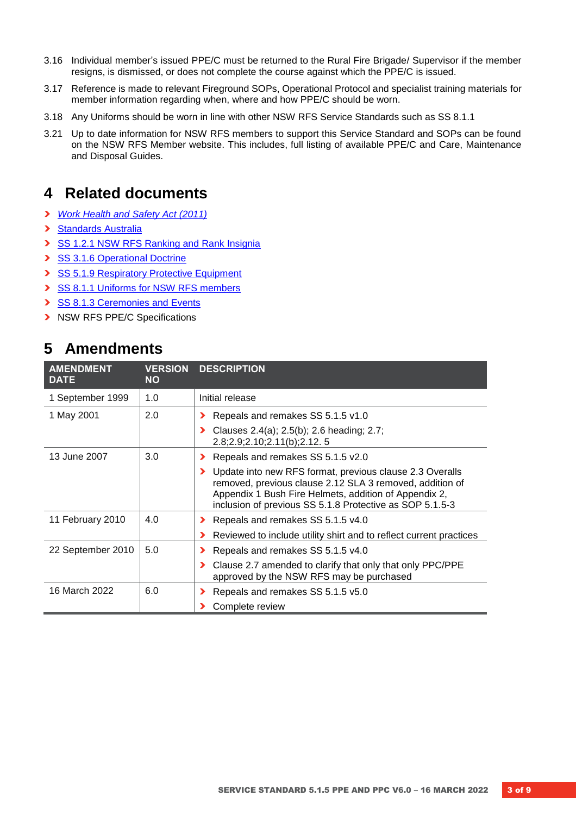- 3.16 Individual member's issued PPE/C must be returned to the Rural Fire Brigade/ Supervisor if the member resigns, is dismissed, or does not complete the course against which the PPE/C is issued.
- 3.17 Reference is made to relevant Fireground SOPs, Operational Protocol and specialist training materials for member information regarding when, where and how PPE/C should be worn.
- 3.18 Any Uniforms should be worn in line with other NSW RFS Service Standards such as SS 8.1.1
- 3.21 Up to date information for NSW RFS members to support this Service Standard and SOPs can be found on the NSW RFS Member website. This includes, full listing of available PPE/C and Care, Maintenance and Disposal Guides.

### **4 Related documents**

- **›** *[Work Health and Safety Act \(2011\)](https://www.legislation.nsw.gov.au/view/html/inforce/current/act-2011-010)*
- **›** [Standards Australia](http://www.standards.org.au/)
- **›** [SS 1.2.1 NSW RFS Ranking and Rank Insignia](https://www.rfs.nsw.gov.au/__data/assets/pdf_file/0010/8794/1.2.1-NSW-RFS-Ranking-and-Rank-Insignia.pdf)
- **›** [SS 3.1.6 Operational Doctrine](https://www.rfs.nsw.gov.au/__data/assets/pdf_file/0006/8907/3.1.6-Operational-Protocols-and-Procedures.pdf)
- **›** [SS 5.1.9 Respiratory Protective Equipment](https://www.rfs.nsw.gov.au/__data/assets/pdf_file/0010/8992/5.1.9-Breathing-Apparatus.pdf)
- **›** [SS 8.1.1 Uniforms for NSW RFS members](https://www.rfs.nsw.gov.au/__data/assets/pdf_file/0004/9067/8.1.1-Uniforms-for-NSW-RFS-Members.pdf)
- **›** [SS 8.1.3 Ceremonies and Events](https://www.rfs.nsw.gov.au/__data/assets/pdf_file/0005/9077/8.1.3-Ceremonies-and-Events-v2.1.pdf)
- **›** NSW RFS PPE/C Specifications

### **5 Amendments**

| <b>AMENDMENT</b><br><b>DATE</b> | <b>VERSION</b><br><b>NO</b> | <b>DESCRIPTION</b>                                                                                                                                                                                                                        |
|---------------------------------|-----------------------------|-------------------------------------------------------------------------------------------------------------------------------------------------------------------------------------------------------------------------------------------|
| 1 September 1999                | 1.0                         | Initial release                                                                                                                                                                                                                           |
| 1 May 2001                      | 2.0                         | Repeals and remakes SS 5.1.5 v1.0<br>Clauses 2.4(a); 2.5(b); 2.6 heading; 2.7;<br>⋗<br>2.8;2.9;2.10;2.11(b);2.12.5                                                                                                                        |
| 13 June 2007                    | 3.0                         | Repeals and remakes SS 5.1.5 v2.0<br>⋗                                                                                                                                                                                                    |
|                                 |                             | Update into new RFS format, previous clause 2.3 Overalls<br>removed, previous clause 2.12 SLA 3 removed, addition of<br>Appendix 1 Bush Fire Helmets, addition of Appendix 2,<br>inclusion of previous SS 5.1.8 Protective as SOP 5.1.5-3 |
| 11 February 2010                | 4.0                         | Repeals and remakes SS 5.1.5 v4.0<br>⋗                                                                                                                                                                                                    |
|                                 |                             | Reviewed to include utility shirt and to reflect current practices                                                                                                                                                                        |
| 22 September 2010               | 5.0                         | Repeals and remakes SS 5.1.5 v4.0                                                                                                                                                                                                         |
|                                 |                             | Clause 2.7 amended to clarify that only that only PPC/PPE<br>⋗<br>approved by the NSW RFS may be purchased                                                                                                                                |
| 16 March 2022                   | 6.0                         | Repeals and remakes SS 5.1.5 v5.0                                                                                                                                                                                                         |
|                                 |                             | Complete review                                                                                                                                                                                                                           |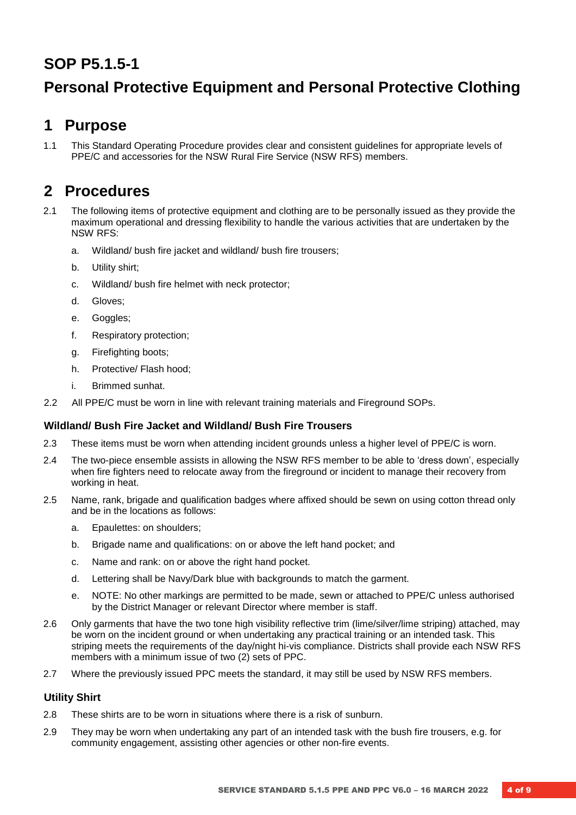## **SOP P5.1.5-1**

# **Personal Protective Equipment and Personal Protective Clothing**

### **1 Purpose**

1.1 This Standard Operating Procedure provides clear and consistent guidelines for appropriate levels of PPE/C and accessories for the NSW Rural Fire Service (NSW RFS) members.

### **2 Procedures**

- 2.1 The following items of protective equipment and clothing are to be personally issued as they provide the maximum operational and dressing flexibility to handle the various activities that are undertaken by the NSW RFS:
	- a. Wildland/ bush fire jacket and wildland/ bush fire trousers;
	- b. Utility shirt;
	- c. Wildland/ bush fire helmet with neck protector;
	- d. Gloves;
	- e. Goggles;
	- f. Respiratory protection;
	- g. Firefighting boots;
	- h. Protective/ Flash hood;
	- i. Brimmed sunhat.
- 2.2 All PPE/C must be worn in line with relevant training materials and Fireground SOPs.

#### **Wildland/ Bush Fire Jacket and Wildland/ Bush Fire Trousers**

- 2.3 These items must be worn when attending incident grounds unless a higher level of PPE/C is worn.
- 2.4 The two-piece ensemble assists in allowing the NSW RFS member to be able to 'dress down', especially when fire fighters need to relocate away from the fireground or incident to manage their recovery from working in heat.
- 2.5 Name, rank, brigade and qualification badges where affixed should be sewn on using cotton thread only and be in the locations as follows:
	- a. Epaulettes: on shoulders;
	- b. Brigade name and qualifications: on or above the left hand pocket; and
	- c. Name and rank: on or above the right hand pocket.
	- d. Lettering shall be Navy/Dark blue with backgrounds to match the garment.
	- e. NOTE: No other markings are permitted to be made, sewn or attached to PPE/C unless authorised by the District Manager or relevant Director where member is staff.
- 2.6 Only garments that have the two tone high visibility reflective trim (lime/silver/lime striping) attached, may be worn on the incident ground or when undertaking any practical training or an intended task. This striping meets the requirements of the day/night hi-vis compliance. Districts shall provide each NSW RFS members with a minimum issue of two (2) sets of PPC.
- 2.7 Where the previously issued PPC meets the standard, it may still be used by NSW RFS members.

#### **Utility Shirt**

- 2.8 These shirts are to be worn in situations where there is a risk of sunburn.
- 2.9 They may be worn when undertaking any part of an intended task with the bush fire trousers, e.g. for community engagement, assisting other agencies or other non-fire events.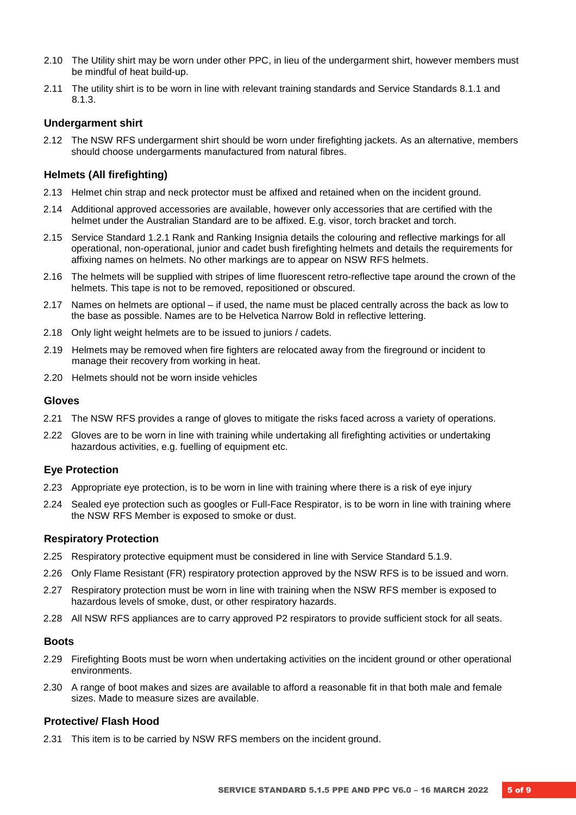- 2.10 The Utility shirt may be worn under other PPC, in lieu of the undergarment shirt, however members must be mindful of heat build-up.
- 2.11 The utility shirt is to be worn in line with relevant training standards and Service Standards 8.1.1 and 8.1.3.

#### **Undergarment shirt**

2.12 The NSW RFS undergarment shirt should be worn under firefighting jackets. As an alternative, members should choose undergarments manufactured from natural fibres.

#### **Helmets (All firefighting)**

- 2.13 Helmet chin strap and neck protector must be affixed and retained when on the incident ground.
- 2.14 Additional approved accessories are available, however only accessories that are certified with the helmet under the Australian Standard are to be affixed. E.g. visor, torch bracket and torch.
- 2.15 Service Standard 1.2.1 Rank and Ranking Insignia details the colouring and reflective markings for all operational, non-operational, junior and cadet bush firefighting helmets and details the requirements for affixing names on helmets. No other markings are to appear on NSW RFS helmets.
- 2.16 The helmets will be supplied with stripes of lime fluorescent retro-reflective tape around the crown of the helmets. This tape is not to be removed, repositioned or obscured.
- 2.17 Names on helmets are optional if used, the name must be placed centrally across the back as low to the base as possible. Names are to be Helvetica Narrow Bold in reflective lettering.
- 2.18 Only light weight helmets are to be issued to juniors / cadets.
- 2.19 Helmets may be removed when fire fighters are relocated away from the fireground or incident to manage their recovery from working in heat.
- 2.20 Helmets should not be worn inside vehicles

#### **Gloves**

- 2.21 The NSW RFS provides a range of gloves to mitigate the risks faced across a variety of operations.
- 2.22 Gloves are to be worn in line with training while undertaking all firefighting activities or undertaking hazardous activities, e.g. fuelling of equipment etc.

#### **Eye Protection**

- 2.23 Appropriate eye protection, is to be worn in line with training where there is a risk of eye injury
- 2.24 Sealed eye protection such as googles or Full-Face Respirator, is to be worn in line with training where the NSW RFS Member is exposed to smoke or dust.

#### **Respiratory Protection**

- 2.25 Respiratory protective equipment must be considered in line with Service Standard 5.1.9.
- 2.26 Only Flame Resistant (FR) respiratory protection approved by the NSW RFS is to be issued and worn.
- 2.27 Respiratory protection must be worn in line with training when the NSW RFS member is exposed to hazardous levels of smoke, dust, or other respiratory hazards.
- 2.28 All NSW RFS appliances are to carry approved P2 respirators to provide sufficient stock for all seats.

#### **Boots**

- 2.29 Firefighting Boots must be worn when undertaking activities on the incident ground or other operational environments.
- 2.30 A range of boot makes and sizes are available to afford a reasonable fit in that both male and female sizes. Made to measure sizes are available.

#### **Protective/ Flash Hood**

2.31 This item is to be carried by NSW RFS members on the incident ground.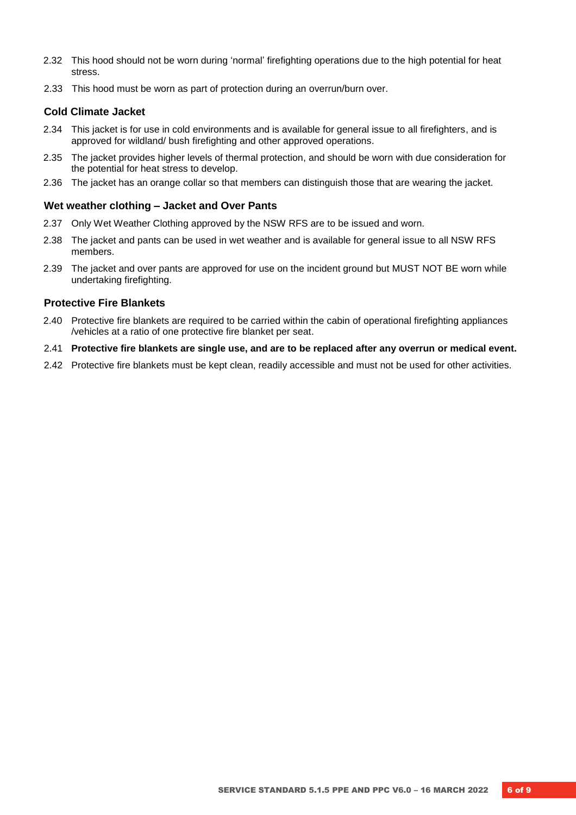- 2.32 This hood should not be worn during 'normal' firefighting operations due to the high potential for heat stress.
- 2.33 This hood must be worn as part of protection during an overrun/burn over.

#### **Cold Climate Jacket**

- 2.34 This jacket is for use in cold environments and is available for general issue to all firefighters, and is approved for wildland/ bush firefighting and other approved operations.
- 2.35 The jacket provides higher levels of thermal protection, and should be worn with due consideration for the potential for heat stress to develop.
- 2.36 The jacket has an orange collar so that members can distinguish those that are wearing the jacket.

#### **Wet weather clothing – Jacket and Over Pants**

- 2.37 Only Wet Weather Clothing approved by the NSW RFS are to be issued and worn.
- 2.38 The jacket and pants can be used in wet weather and is available for general issue to all NSW RFS members.
- 2.39 The jacket and over pants are approved for use on the incident ground but MUST NOT BE worn while undertaking firefighting.

#### **Protective Fire Blankets**

- 2.40 Protective fire blankets are required to be carried within the cabin of operational firefighting appliances /vehicles at a ratio of one protective fire blanket per seat.
- 2.41 **Protective fire blankets are single use, and are to be replaced after any overrun or medical event.**
- 2.42 Protective fire blankets must be kept clean, readily accessible and must not be used for other activities.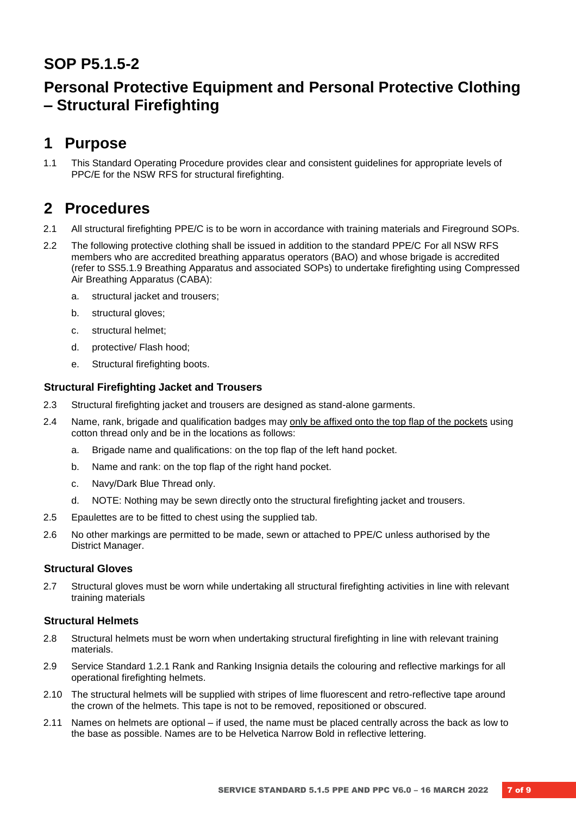### **SOP P5.1.5-2**

# **Personal Protective Equipment and Personal Protective Clothing – Structural Firefighting**

### **1 Purpose**

1.1 This Standard Operating Procedure provides clear and consistent guidelines for appropriate levels of PPC/E for the NSW RFS for structural firefighting.

### **2 Procedures**

- 2.1 All structural firefighting PPE/C is to be worn in accordance with training materials and Fireground SOPs.
- 2.2 The following protective clothing shall be issued in addition to the standard PPE/C For all NSW RFS members who are accredited breathing apparatus operators (BAO) and whose brigade is accredited (refer to SS5.1.9 Breathing Apparatus and associated SOPs) to undertake firefighting using Compressed Air Breathing Apparatus (CABA):
	- a. structural jacket and trousers;
	- b. structural gloves;
	- c. structural helmet;
	- d. protective/ Flash hood;
	- e. Structural firefighting boots.

#### **Structural Firefighting Jacket and Trousers**

- 2.3 Structural firefighting jacket and trousers are designed as stand-alone garments.
- 2.4 Name, rank, brigade and qualification badges may only be affixed onto the top flap of the pockets using cotton thread only and be in the locations as follows:
	- a. Brigade name and qualifications: on the top flap of the left hand pocket.
	- b. Name and rank: on the top flap of the right hand pocket.
	- c. Navy/Dark Blue Thread only.
	- d. NOTE: Nothing may be sewn directly onto the structural firefighting jacket and trousers.
- 2.5 Epaulettes are to be fitted to chest using the supplied tab.
- 2.6 No other markings are permitted to be made, sewn or attached to PPE/C unless authorised by the District Manager.

#### **Structural Gloves**

2.7 Structural gloves must be worn while undertaking all structural firefighting activities in line with relevant training materials

#### **Structural Helmets**

- 2.8 Structural helmets must be worn when undertaking structural firefighting in line with relevant training materials.
- 2.9 Service Standard 1.2.1 Rank and Ranking Insignia details the colouring and reflective markings for all operational firefighting helmets.
- 2.10 The structural helmets will be supplied with stripes of lime fluorescent and retro-reflective tape around the crown of the helmets. This tape is not to be removed, repositioned or obscured.
- 2.11 Names on helmets are optional if used, the name must be placed centrally across the back as low to the base as possible. Names are to be Helvetica Narrow Bold in reflective lettering.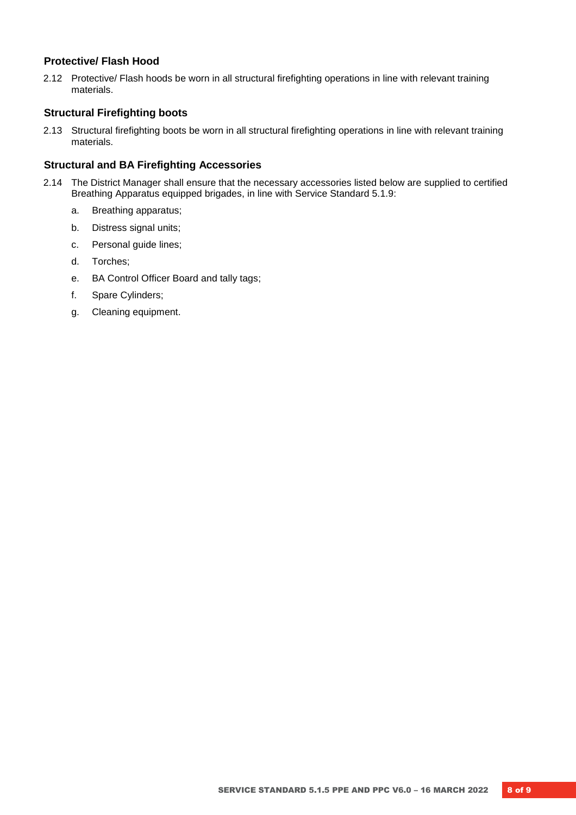#### **Protective/ Flash Hood**

2.12 Protective/ Flash hoods be worn in all structural firefighting operations in line with relevant training materials.

#### **Structural Firefighting boots**

2.13 Structural firefighting boots be worn in all structural firefighting operations in line with relevant training materials.

#### **Structural and BA Firefighting Accessories**

- 2.14 The District Manager shall ensure that the necessary accessories listed below are supplied to certified Breathing Apparatus equipped brigades, in line with Service Standard 5.1.9:
	- a. Breathing apparatus;
	- b. Distress signal units;
	- c. Personal guide lines;
	- d. Torches;
	- e. BA Control Officer Board and tally tags;
	- f. Spare Cylinders;
	- g. Cleaning equipment.